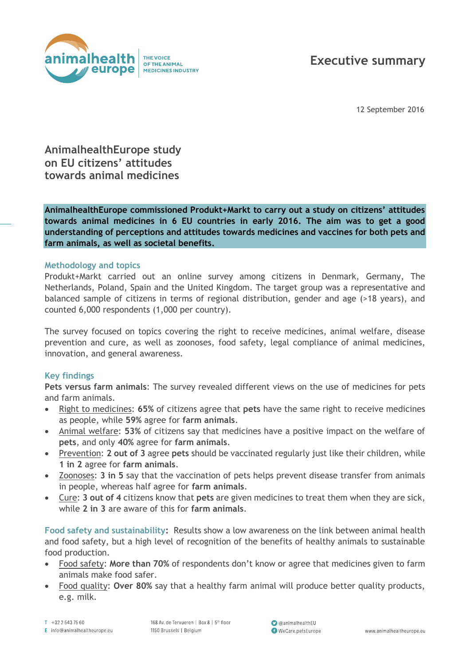

# **Executive summary**

12 September 2016

## **AnimalhealthEurope study on EU citizens' attitudes towards animal medicines**

**AnimalhealthEurope commissioned Produkt+Markt to carry out a study on citizens' attitudes towards animal medicines in 6 EU countries in early 2016. The aim was to get a good understanding of perceptions and attitudes towards medicines and vaccines for both pets and farm animals, as well as societal benefits.**

#### **Methodology and topics**

Produkt+Markt carried out an online survey among citizens in Denmark, Germany, The Netherlands, Poland, Spain and the United Kingdom. The target group was a representative and balanced sample of citizens in terms of regional distribution, gender and age (>18 years), and counted 6,000 respondents (1,000 per country).

The survey focused on topics covering the right to receive medicines, animal welfare, disease prevention and cure, as well as zoonoses, food safety, legal compliance of animal medicines, innovation, and general awareness.

## **Key findings**

**Pets versus farm animals**: The survey revealed different views on the use of medicines for pets and farm animals.

- Right to medicines: **65%** of citizens agree that **pets** have the same right to receive medicines as people, while **59%** agree for **farm animals**.
- Animal welfare: **53%** of citizens say that medicines have a positive impact on the welfare of **pets**, and only **40%** agree for **farm animals**.
- Prevention: **2 out of 3** agree **pets** should be vaccinated regularly just like their children, while **1 in 2** agree for **farm animals**.
- Zoonoses: **3 in 5** say that the vaccination of pets helps prevent disease transfer from animals in people, whereas half agree for **farm animals**.
- Cure: **3 out of 4** citizens know that **pets** are given medicines to treat them when they are sick, while **2 in 3** are aware of this for **farm animals**.

**Food safety and sustainability:** Results show a low awareness on the link between animal health and food safety, but a high level of recognition of the benefits of healthy animals to sustainable food production.

- Food safety: **More than 70%** of respondents don't know or agree that medicines given to farm animals make food safer.
- Food quality: **Over 80%** say that a healthy farm animal will produce better quality products, e.g. milk.